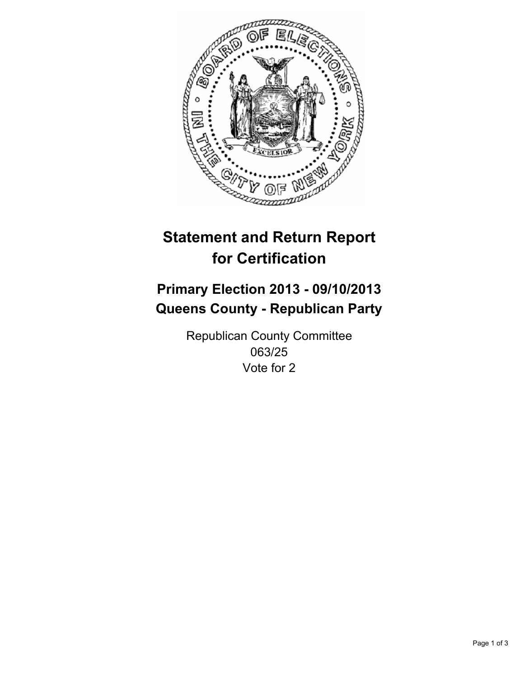

# **Statement and Return Report for Certification**

# **Primary Election 2013 - 09/10/2013 Queens County - Republican Party**

Republican County Committee 063/25 Vote for 2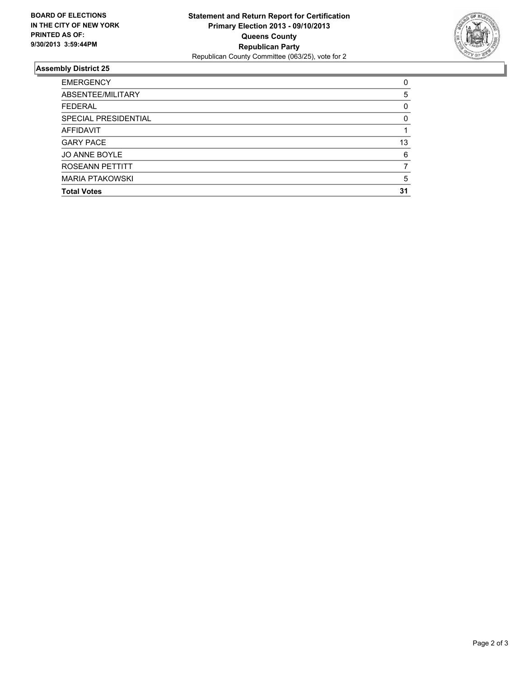

## **Assembly District 25**

| <b>EMERGENCY</b>       | 0        |
|------------------------|----------|
| ABSENTEE/MILITARY      | 5        |
| <b>FEDERAL</b>         | 0        |
| SPECIAL PRESIDENTIAL   | $\Omega$ |
| AFFIDAVIT              |          |
| <b>GARY PACE</b>       | 13       |
| <b>JO ANNE BOYLE</b>   | 6        |
| ROSEANN PETTITT        |          |
| <b>MARIA PTAKOWSKI</b> | 5        |
| <b>Total Votes</b>     | 31       |